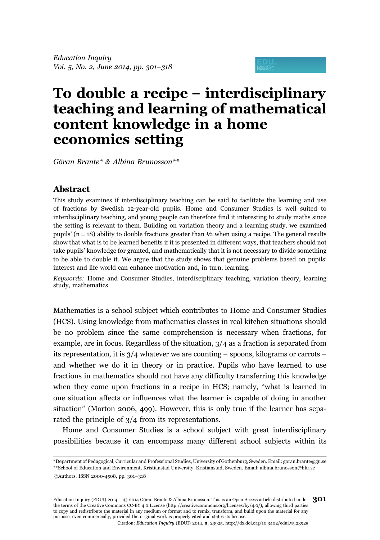# To double a recipe - interdisciplinary teaching and learning of mathematical content knowledge in a home economics setting

Göran Brante\* & Albina Brunosson\*\*

## Abstract

This study examines if interdisciplinary teaching can be said to facilitate the learning and use of fractions by Swedish 12-year-old pupils. Home and Consumer Studies is well suited to interdisciplinary teaching, and young people can therefore find it interesting to study maths since the setting is relevant to them. Building on variation theory and a learning study, we examined pupils' (n = 18) ability to double fractions greater than  $\frac{1}{2}$  when using a recipe. The general results show that what is to be learned benefits if it is presented in different ways, that teachers should not take pupils' knowledge for granted, and mathematically that it is not necessary to divide something to be able to double it. We argue that the study shows that genuine problems based on pupils' interest and life world can enhance motivation and, in turn, learning.

Keywords: Home and Consumer Studies, interdisciplinary teaching, variation theory, learning study, mathematics

Mathematics is a school subject which contributes to Home and Consumer Studies (HCS). Using knowledge from mathematics classes in real kitchen situations should be no problem since the same comprehension is necessary when fractions, for example, are in focus. Regardless of the situation, 3/4 as a fraction is separated from its representation, it is 3/4 whatever we are counting – spoons, kilograms or carrots – and whether we do it in theory or in practice. Pupils who have learned to use fractions in mathematics should not have any difficulty transferring this knowledge when they come upon fractions in a recipe in HCS; namely, ''what is learned in one situation affects or influences what the learner is capable of doing in another situation'' (Marton 2006, 499). However, this is only true if the learner has separated the principle of 3/4 from its representations.

Home and Consumer Studies is a school subject with great interdisciplinary possibilities because it can encompass many different school subjects within its

Education Inquiry (EDUI) 2014.  $\,$   $\odot$  2014 Göran Brante & Albina Brunosson. This is an Open Access article distributed under  $\,301$ the terms of the Creative Commons CC-BY 4.0 License (http://creativecommons.org/licenses/by/4.0/), allowing third parties to copy and redistribute the material in any medium or format and to remix, transform, and build upon the material for any purpose, even commercially, provided the original work is properly cited and states its license.

<sup>\*</sup>Department of Pedagogical, Curricular and Professional Studies, University of Gothenburg, Sweden. Email: goran.brante@gu.se \*\*School of Education and Environment, Kristianstad University, Kristianstad, Sweden. Email: albina.brunosson@hkr.se

CAuthors. ISSN 2000-4508, pp. 301-318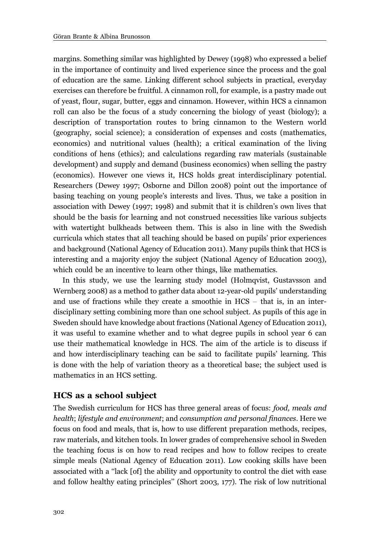margins. Something similar was highlighted by Dewey (1998) who expressed a belief in the importance of continuity and lived experience since the process and the goal of education are the same. Linking different school subjects in practical, everyday exercises can therefore be fruitful. A cinnamon roll, for example, is a pastry made out of yeast, flour, sugar, butter, eggs and cinnamon. However, within HCS a cinnamon roll can also be the focus of a study concerning the biology of yeast (biology); a description of transportation routes to bring cinnamon to the Western world (geography, social science); a consideration of expenses and costs (mathematics, economics) and nutritional values (health); a critical examination of the living conditions of hens (ethics); and calculations regarding raw materials (sustainable development) and supply and demand (business economics) when selling the pastry (economics). However one views it, HCS holds great interdisciplinary potential. Researchers (Dewey 1997; Osborne and Dillon 2008) point out the importance of basing teaching on young people's interests and lives. Thus, we take a position in association with Dewey (1997; 1998) and submit that it is children's own lives that should be the basis for learning and not construed necessities like various subjects with watertight bulkheads between them. This is also in line with the Swedish curricula which states that all teaching should be based on pupils' prior experiences and background (National Agency of Education 2011). Many pupils think that HCS is interesting and a majority enjoy the subject (National Agency of Education 2003), which could be an incentive to learn other things, like mathematics.

In this study, we use the learning study model (Holmqvist, Gustavsson and Wernberg 2008) as a method to gather data about 12-year-old pupils' understanding and use of fractions while they create a smoothie in  $HCS -$  that is, in an interdisciplinary setting combining more than one school subject. As pupils of this age in Sweden should have knowledge about fractions (National Agency of Education 2011), it was useful to examine whether and to what degree pupils in school year 6 can use their mathematical knowledge in HCS. The aim of the article is to discuss if and how interdisciplinary teaching can be said to facilitate pupils' learning. This is done with the help of variation theory as a theoretical base; the subject used is mathematics in an HCS setting.

# HCS as a school subject

The Swedish curriculum for HCS has three general areas of focus: food, meals and health; lifestyle and environment; and consumption and personal finances. Here we focus on food and meals, that is, how to use different preparation methods, recipes, raw materials, and kitchen tools. In lower grades of comprehensive school in Sweden the teaching focus is on how to read recipes and how to follow recipes to create simple meals (National Agency of Education 2011). Low cooking skills have been associated with a ''lack [of] the ability and opportunity to control the diet with ease and follow healthy eating principles'' (Short 2003, 177). The risk of low nutritional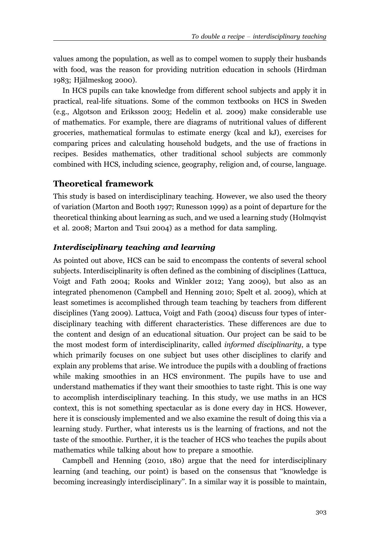values among the population, as well as to compel women to supply their husbands with food, was the reason for providing nutrition education in schools (Hirdman 1983; Hjälmeskog 2000).

In HCS pupils can take knowledge from different school subjects and apply it in practical, real-life situations. Some of the common textbooks on HCS in Sweden (e.g., Algotson and Eriksson 2003; Hedelin et al. 2009) make considerable use of mathematics. For example, there are diagrams of nutritional values of different groceries, mathematical formulas to estimate energy (kcal and kJ), exercises for comparing prices and calculating household budgets, and the use of fractions in recipes. Besides mathematics, other traditional school subjects are commonly combined with HCS, including science, geography, religion and, of course, language.

# Theoretical framework

This study is based on interdisciplinary teaching. However, we also used the theory of variation (Marton and Booth 1997; Runesson 1999) as a point of departure for the theoretical thinking about learning as such, and we used a learning study (Holmqvist et al. 2008; Marton and Tsui 2004) as a method for data sampling.

# Interdisciplinary teaching and learning

As pointed out above, HCS can be said to encompass the contents of several school subjects. Interdisciplinarity is often defined as the combining of disciplines (Lattuca, Voigt and Fath 2004; Rooks and Winkler 2012; Yang 2009), but also as an integrated phenomenon (Campbell and Henning 2010; Spelt et al. 2009), which at least sometimes is accomplished through team teaching by teachers from different disciplines (Yang 2009). Lattuca, Voigt and Fath (2004) discuss four types of interdisciplinary teaching with different characteristics. These differences are due to the content and design of an educational situation. Our project can be said to be the most modest form of interdisciplinarity, called informed disciplinarity, a type which primarily focuses on one subject but uses other disciplines to clarify and explain any problems that arise. We introduce the pupils with a doubling of fractions while making smoothies in an HCS environment. The pupils have to use and understand mathematics if they want their smoothies to taste right. This is one way to accomplish interdisciplinary teaching. In this study, we use maths in an HCS context, this is not something spectacular as is done every day in HCS. However, here it is consciously implemented and we also examine the result of doing this via a learning study. Further, what interests us is the learning of fractions, and not the taste of the smoothie. Further, it is the teacher of HCS who teaches the pupils about mathematics while talking about how to prepare a smoothie.

Campbell and Henning (2010, 180) argue that the need for interdisciplinary learning (and teaching, our point) is based on the consensus that ''knowledge is becoming increasingly interdisciplinary''. In a similar way it is possible to maintain,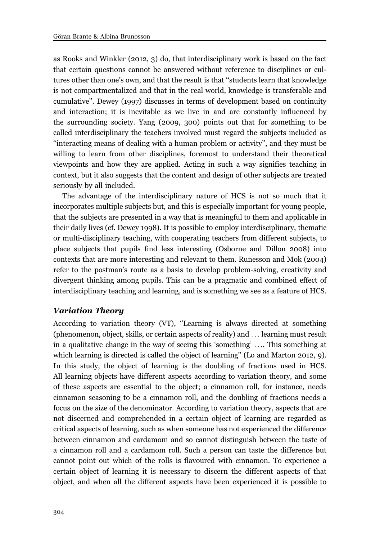as Rooks and Winkler (2012, 3) do, that interdisciplinary work is based on the fact that certain questions cannot be answered without reference to disciplines or cultures other than one's own, and that the result is that ''students learn that knowledge is not compartmentalized and that in the real world, knowledge is transferable and cumulative''. Dewey (1997) discusses in terms of development based on continuity and interaction; it is inevitable as we live in and are constantly influenced by the surrounding society. Yang (2009, 300) points out that for something to be called interdisciplinary the teachers involved must regard the subjects included as ''interacting means of dealing with a human problem or activity'', and they must be willing to learn from other disciplines, foremost to understand their theoretical viewpoints and how they are applied. Acting in such a way signifies teaching in context, but it also suggests that the content and design of other subjects are treated seriously by all included.

The advantage of the interdisciplinary nature of HCS is not so much that it incorporates multiple subjects but, and this is especially important for young people, that the subjects are presented in a way that is meaningful to them and applicable in their daily lives (cf. Dewey 1998). It is possible to employ interdisciplinary, thematic or multi-disciplinary teaching, with cooperating teachers from different subjects, to place subjects that pupils find less interesting (Osborne and Dillon 2008) into contexts that are more interesting and relevant to them. Runesson and Mok (2004) refer to the postman's route as a basis to develop problem-solving, creativity and divergent thinking among pupils. This can be a pragmatic and combined effect of interdisciplinary teaching and learning, and is something we see as a feature of HCS.

## Variation Theory

According to variation theory (VT), ''Learning is always directed at something (phenomenon, object, skills, or certain aspects of reality) and ... learning must result in a qualitative change in the way of seeing this 'something' .... This something at which learning is directed is called the object of learning'' (Lo and Marton 2012, 9). In this study, the object of learning is the doubling of fractions used in HCS. All learning objects have different aspects according to variation theory, and some of these aspects are essential to the object; a cinnamon roll, for instance, needs cinnamon seasoning to be a cinnamon roll, and the doubling of fractions needs a focus on the size of the denominator. According to variation theory, aspects that are not discerned and comprehended in a certain object of learning are regarded as critical aspects of learning, such as when someone has not experienced the difference between cinnamon and cardamom and so cannot distinguish between the taste of a cinnamon roll and a cardamom roll. Such a person can taste the difference but cannot point out which of the rolls is flavoured with cinnamon. To experience a certain object of learning it is necessary to discern the different aspects of that object, and when all the different aspects have been experienced it is possible to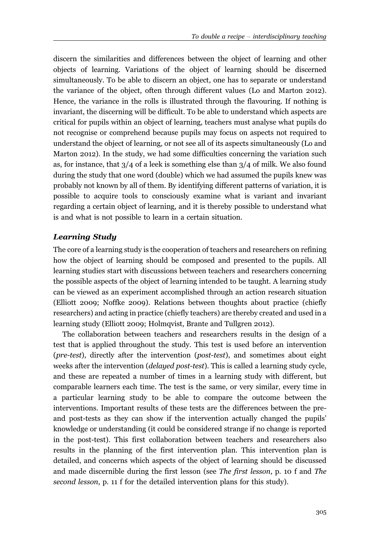discern the similarities and differences between the object of learning and other objects of learning. Variations of the object of learning should be discerned simultaneously. To be able to discern an object, one has to separate or understand the variance of the object, often through different values (Lo and Marton 2012). Hence, the variance in the rolls is illustrated through the flavouring. If nothing is invariant, the discerning will be difficult. To be able to understand which aspects are critical for pupils within an object of learning, teachers must analyse what pupils do not recognise or comprehend because pupils may focus on aspects not required to understand the object of learning, or not see all of its aspects simultaneously (Lo and Marton 2012). In the study, we had some difficulties concerning the variation such as, for instance, that  $3/4$  of a leek is something else than  $3/4$  of milk. We also found during the study that one word (double) which we had assumed the pupils knew was probably not known by all of them. By identifying different patterns of variation, it is possible to acquire tools to consciously examine what is variant and invariant regarding a certain object of learning, and it is thereby possible to understand what is and what is not possible to learn in a certain situation.

## Learning Study

The core of a learning study is the cooperation of teachers and researchers on refining how the object of learning should be composed and presented to the pupils. All learning studies start with discussions between teachers and researchers concerning the possible aspects of the object of learning intended to be taught. A learning study can be viewed as an experiment accomplished through an action research situation (Elliott 2009; Noffke 2009). Relations between thoughts about practice (chiefly researchers) and acting in practice (chiefly teachers) are thereby created and used in a learning study (Elliott 2009; Holmqvist, Brante and Tullgren 2012).

The collaboration between teachers and researchers results in the design of a test that is applied throughout the study. This test is used before an intervention (pre-test), directly after the intervention (post-test), and sometimes about eight weeks after the intervention (*delayed post-test*). This is called a learning study cycle, and these are repeated a number of times in a learning study with different, but comparable learners each time. The test is the same, or very similar, every time in a particular learning study to be able to compare the outcome between the interventions. Important results of these tests are the differences between the preand post-tests as they can show if the intervention actually changed the pupils' knowledge or understanding (it could be considered strange if no change is reported in the post-test). This first collaboration between teachers and researchers also results in the planning of the first intervention plan. This intervention plan is detailed, and concerns which aspects of the object of learning should be discussed and made discernible during the first lesson (see The first lesson, p. 10 f and The second lesson, p. 11 f for the detailed intervention plans for this study).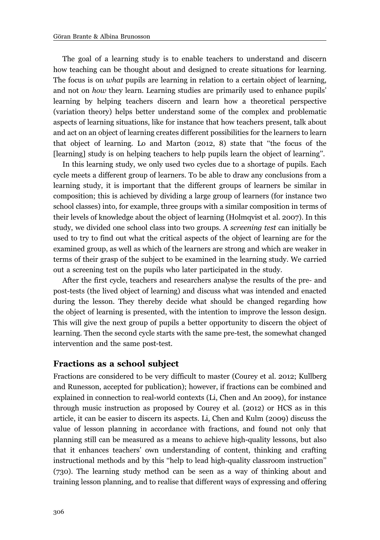The goal of a learning study is to enable teachers to understand and discern how teaching can be thought about and designed to create situations for learning. The focus is on *what* pupils are learning in relation to a certain object of learning, and not on how they learn. Learning studies are primarily used to enhance pupils' learning by helping teachers discern and learn how a theoretical perspective (variation theory) helps better understand some of the complex and problematic aspects of learning situations, like for instance that how teachers present, talk about and act on an object of learning creates different possibilities for the learners to learn that object of learning. Lo and Marton (2012, 8) state that ''the focus of the [learning] study is on helping teachers to help pupils learn the object of learning''.

In this learning study, we only used two cycles due to a shortage of pupils. Each cycle meets a different group of learners. To be able to draw any conclusions from a learning study, it is important that the different groups of learners be similar in composition; this is achieved by dividing a large group of learners (for instance two school classes) into, for example, three groups with a similar composition in terms of their levels of knowledge about the object of learning (Holmqvist et al. 2007). In this study, we divided one school class into two groups. A screening test can initially be used to try to find out what the critical aspects of the object of learning are for the examined group, as well as which of the learners are strong and which are weaker in terms of their grasp of the subject to be examined in the learning study. We carried out a screening test on the pupils who later participated in the study.

After the first cycle, teachers and researchers analyse the results of the pre- and post-tests (the lived object of learning) and discuss what was intended and enacted during the lesson. They thereby decide what should be changed regarding how the object of learning is presented, with the intention to improve the lesson design. This will give the next group of pupils a better opportunity to discern the object of learning. Then the second cycle starts with the same pre-test, the somewhat changed intervention and the same post-test.

#### Fractions as a school subject

Fractions are considered to be very difficult to master (Courey et al. 2012; Kullberg and Runesson, accepted for publication); however, if fractions can be combined and explained in connection to real-world contexts (Li, Chen and An 2009), for instance through music instruction as proposed by Courey et al. (2012) or HCS as in this article, it can be easier to discern its aspects. Li, Chen and Kulm (2009) discuss the value of lesson planning in accordance with fractions, and found not only that planning still can be measured as a means to achieve high-quality lessons, but also that it enhances teachers' own understanding of content, thinking and crafting instructional methods and by this ''help to lead high-quality classroom instruction'' (730). The learning study method can be seen as a way of thinking about and training lesson planning, and to realise that different ways of expressing and offering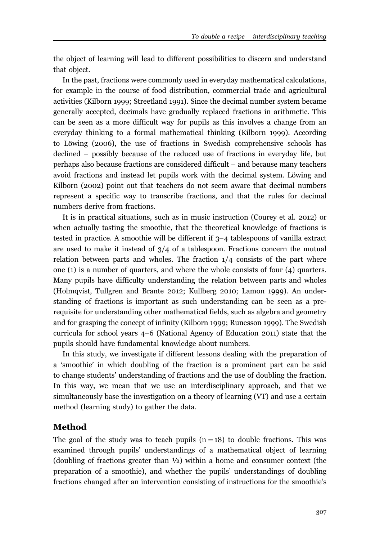the object of learning will lead to different possibilities to discern and understand that object.

In the past, fractions were commonly used in everyday mathematical calculations, for example in the course of food distribution, commercial trade and agricultural activities (Kilborn 1999; Streetland 1991). Since the decimal number system became generally accepted, decimals have gradually replaced fractions in arithmetic. This can be seen as a more difficult way for pupils as this involves a change from an everyday thinking to a formal mathematical thinking (Kilborn 1999). According to Löwing (2006), the use of fractions in Swedish comprehensive schools has declined - possibly because of the reduced use of fractions in everyday life, but perhaps also because fractions are considered difficult – and because many teachers avoid fractions and instead let pupils work with the decimal system. Löwing and Kilborn (2002) point out that teachers do not seem aware that decimal numbers represent a specific way to transcribe fractions, and that the rules for decimal numbers derive from fractions.

It is in practical situations, such as in music instruction (Courey et al. 2012) or when actually tasting the smoothie, that the theoretical knowledge of fractions is tested in practice. A smoothie will be different if 3-4 tablespoons of vanilla extract are used to make it instead of  $3/4$  of a tablespoon. Fractions concern the mutual relation between parts and wholes. The fraction  $1/4$  consists of the part where one (1) is a number of quarters, and where the whole consists of four (4) quarters. Many pupils have difficulty understanding the relation between parts and wholes (Holmqvist, Tullgren and Brante 2012; Kullberg 2010; Lamon 1999). An understanding of fractions is important as such understanding can be seen as a prerequisite for understanding other mathematical fields, such as algebra and geometry and for grasping the concept of infinity (Kilborn 1999; Runesson 1999). The Swedish curricula for school years 4-6 (National Agency of Education 2011) state that the pupils should have fundamental knowledge about numbers.

In this study, we investigate if different lessons dealing with the preparation of a 'smoothie' in which doubling of the fraction is a prominent part can be said to change students' understanding of fractions and the use of doubling the fraction. In this way, we mean that we use an interdisciplinary approach, and that we simultaneously base the investigation on a theory of learning (VT) and use a certain method (learning study) to gather the data.

# Method

The goal of the study was to teach pupils  $(n=18)$  to double fractions. This was examined through pupils' understandings of a mathematical object of learning (doubling of fractions greater than ½) within a home and consumer context (the preparation of a smoothie), and whether the pupils' understandings of doubling fractions changed after an intervention consisting of instructions for the smoothie's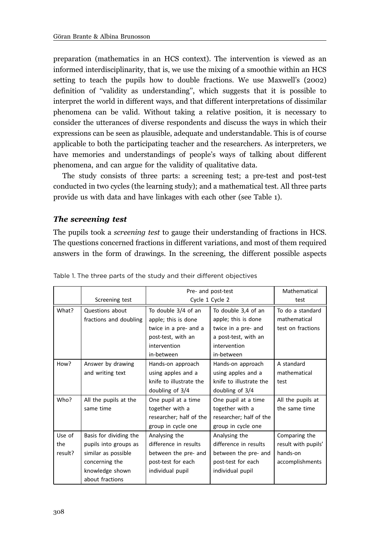preparation (mathematics in an HCS context). The intervention is viewed as an informed interdisciplinarity, that is, we use the mixing of a smoothie within an HCS setting to teach the pupils how to double fractions. We use Maxwell's (2002) definition of ''validity as understanding'', which suggests that it is possible to interpret the world in different ways, and that different interpretations of dissimilar phenomena can be valid. Without taking a relative position, it is necessary to consider the utterances of diverse respondents and discuss the ways in which their expressions can be seen as plausible, adequate and understandable. This is of course applicable to both the participating teacher and the researchers. As interpreters, we have memories and understandings of people's ways of talking about different phenomena, and can argue for the validity of qualitative data.

The study consists of three parts: a screening test; a pre-test and post-test conducted in two cycles (the learning study); and a mathematical test. All three parts provide us with data and have linkages with each other (see Table 1).

## The screening test

The pupils took a screening test to gauge their understanding of fractions in HCS. The questions concerned fractions in different variations, and most of them required answers in the form of drawings. In the screening, the different possible aspects

|         |                        | Pre- and post-test      |                         | Mathematical        |
|---------|------------------------|-------------------------|-------------------------|---------------------|
|         | Screening test         | Cycle 1 Cycle 2         |                         | test                |
| What?   | Questions about        | To double 3/4 of an     | To double 3,4 of an     | To do a standard    |
|         | fractions and doubling | apple; this is done     | apple; this is done     | mathematical        |
|         |                        | twice in a pre- and a   | twice in a pre- and     | test on fractions   |
|         |                        | post-test, with an      | a post-test, with an    |                     |
|         |                        | intervention            | intervention            |                     |
|         |                        | in-between              | in-between              |                     |
| How?    | Answer by drawing      | Hands-on approach       | Hands-on approach       | A standard          |
|         | and writing text       | using apples and a      | using apples and a      | mathematical        |
|         |                        | knife to illustrate the | knife to illustrate the | test                |
|         |                        | doubling of $3/4$       | doubling of $3/4$       |                     |
| Who?    | All the pupils at the  | One pupil at a time     | One pupil at a time     | All the pupils at   |
|         | same time              | together with a         | together with a         | the same time       |
|         |                        | researcher; half of the | researcher; half of the |                     |
|         |                        | group in cycle one      | group in cycle one      |                     |
| Use of  | Basis for dividing the | Analysing the           | Analysing the           | Comparing the       |
| the     | pupils into groups as  | difference in results   | difference in results   | result with pupils' |
| result? | similar as possible    | between the pre- and    | between the pre- and    | hands-on            |
|         | concerning the         | post-test for each      | post-test for each      | accomplishments     |
|         | knowledge shown        | individual pupil        | individual pupil        |                     |
|         | about fractions        |                         |                         |                     |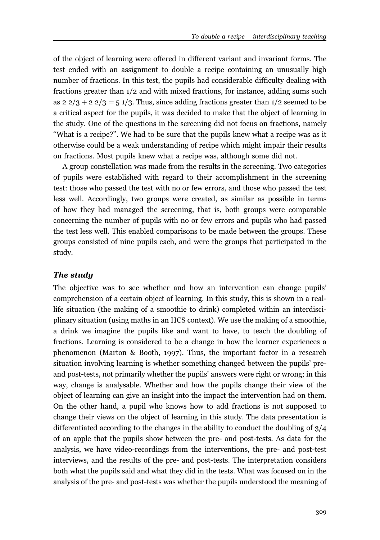of the object of learning were offered in different variant and invariant forms. The test ended with an assignment to double a recipe containing an unusually high number of fractions. In this test, the pupils had considerable difficulty dealing with fractions greater than 1/2 and with mixed fractions, for instance, adding sums such as  $2\frac{2}{3} + 2\frac{2}{3} = 5\frac{1}{3}$ . Thus, since adding fractions greater than  $\frac{1}{2}$  seemed to be a critical aspect for the pupils, it was decided to make that the object of learning in the study. One of the questions in the screening did not focus on fractions, namely ''What is a recipe?''. We had to be sure that the pupils knew what a recipe was as it otherwise could be a weak understanding of recipe which might impair their results on fractions. Most pupils knew what a recipe was, although some did not.

A group constellation was made from the results in the screening. Two categories of pupils were established with regard to their accomplishment in the screening test: those who passed the test with no or few errors, and those who passed the test less well. Accordingly, two groups were created, as similar as possible in terms of how they had managed the screening, that is, both groups were comparable concerning the number of pupils with no or few errors and pupils who had passed the test less well. This enabled comparisons to be made between the groups. These groups consisted of nine pupils each, and were the groups that participated in the study.

## The study

The objective was to see whether and how an intervention can change pupils' comprehension of a certain object of learning. In this study, this is shown in a reallife situation (the making of a smoothie to drink) completed within an interdisciplinary situation (using maths in an HCS context). We use the making of a smoothie, a drink we imagine the pupils like and want to have, to teach the doubling of fractions. Learning is considered to be a change in how the learner experiences a phenomenon (Marton & Booth, 1997). Thus, the important factor in a research situation involving learning is whether something changed between the pupils' preand post-tests, not primarily whether the pupils' answers were right or wrong; in this way, change is analysable. Whether and how the pupils change their view of the object of learning can give an insight into the impact the intervention had on them. On the other hand, a pupil who knows how to add fractions is not supposed to change their views on the object of learning in this study. The data presentation is differentiated according to the changes in the ability to conduct the doubling of 3/4 of an apple that the pupils show between the pre- and post-tests. As data for the analysis, we have video-recordings from the interventions, the pre- and post-test interviews, and the results of the pre- and post-tests. The interpretation considers both what the pupils said and what they did in the tests. What was focused on in the analysis of the pre- and post-tests was whether the pupils understood the meaning of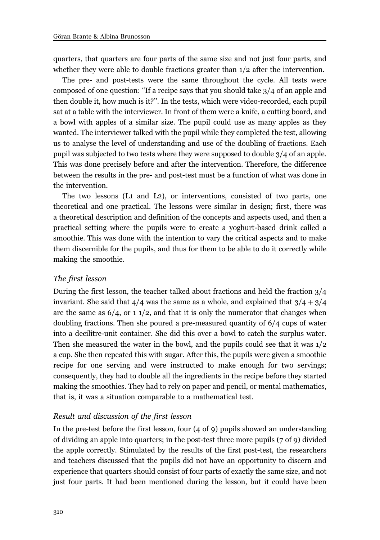quarters, that quarters are four parts of the same size and not just four parts, and whether they were able to double fractions greater than  $1/2$  after the intervention.

The pre- and post-tests were the same throughout the cycle. All tests were composed of one question: ''If a recipe says that you should take 3/4 of an apple and then double it, how much is it?''. In the tests, which were video-recorded, each pupil sat at a table with the interviewer. In front of them were a knife, a cutting board, and a bowl with apples of a similar size. The pupil could use as many apples as they wanted. The interviewer talked with the pupil while they completed the test, allowing us to analyse the level of understanding and use of the doubling of fractions. Each pupil was subjected to two tests where they were supposed to double 3/4 of an apple. This was done precisely before and after the intervention. Therefore, the difference between the results in the pre- and post-test must be a function of what was done in the intervention.

The two lessons (L1 and L2), or interventions, consisted of two parts, one theoretical and one practical. The lessons were similar in design; first, there was a theoretical description and definition of the concepts and aspects used, and then a practical setting where the pupils were to create a yoghurt-based drink called a smoothie. This was done with the intention to vary the critical aspects and to make them discernible for the pupils, and thus for them to be able to do it correctly while making the smoothie.

#### The first lesson

During the first lesson, the teacher talked about fractions and held the fraction 3/4 invariant. She said that  $4/4$  was the same as a whole, and explained that  $3/4+3/4$ are the same as  $6/4$ , or 1  $1/2$ , and that it is only the numerator that changes when doubling fractions. Then she poured a pre-measured quantity of 6/4 cups of water into a decilitre-unit container. She did this over a bowl to catch the surplus water. Then she measured the water in the bowl, and the pupils could see that it was  $1/2$ a cup. She then repeated this with sugar. After this, the pupils were given a smoothie recipe for one serving and were instructed to make enough for two servings; consequently, they had to double all the ingredients in the recipe before they started making the smoothies. They had to rely on paper and pencil, or mental mathematics, that is, it was a situation comparable to a mathematical test.

#### Result and discussion of the first lesson

In the pre-test before the first lesson, four (4 of 9) pupils showed an understanding of dividing an apple into quarters; in the post-test three more pupils (7 of 9) divided the apple correctly. Stimulated by the results of the first post-test, the researchers and teachers discussed that the pupils did not have an opportunity to discern and experience that quarters should consist of four parts of exactly the same size, and not just four parts. It had been mentioned during the lesson, but it could have been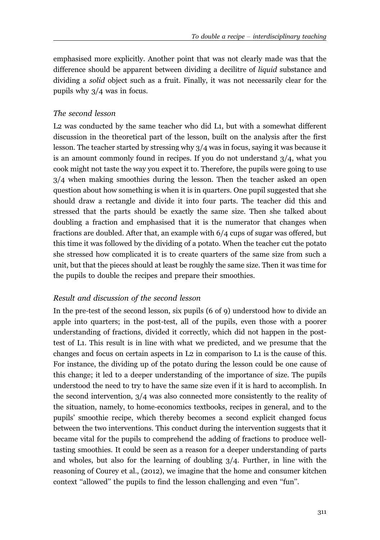emphasised more explicitly. Another point that was not clearly made was that the difference should be apparent between dividing a decilitre of liquid substance and dividing a solid object such as a fruit. Finally, it was not necessarily clear for the pupils why 3/4 was in focus.

## The second lesson

L2 was conducted by the same teacher who did L1, but with a somewhat different discussion in the theoretical part of the lesson, built on the analysis after the first lesson. The teacher started by stressing why 3/4 was in focus, saying it was because it is an amount commonly found in recipes. If you do not understand 3/4, what you cook might not taste the way you expect it to. Therefore, the pupils were going to use 3/4 when making smoothies during the lesson. Then the teacher asked an open question about how something is when it is in quarters. One pupil suggested that she should draw a rectangle and divide it into four parts. The teacher did this and stressed that the parts should be exactly the same size. Then she talked about doubling a fraction and emphasised that it is the numerator that changes when fractions are doubled. After that, an example with 6/4 cups of sugar was offered, but this time it was followed by the dividing of a potato. When the teacher cut the potato she stressed how complicated it is to create quarters of the same size from such a unit, but that the pieces should at least be roughly the same size. Then it was time for the pupils to double the recipes and prepare their smoothies.

#### Result and discussion of the second lesson

In the pre-test of the second lesson, six pupils (6 of 9) understood how to divide an apple into quarters; in the post-test, all of the pupils, even those with a poorer understanding of fractions, divided it correctly, which did not happen in the posttest of L1. This result is in line with what we predicted, and we presume that the changes and focus on certain aspects in L2 in comparison to L1 is the cause of this. For instance, the dividing up of the potato during the lesson could be one cause of this change; it led to a deeper understanding of the importance of size. The pupils understood the need to try to have the same size even if it is hard to accomplish. In the second intervention, 3/4 was also connected more consistently to the reality of the situation, namely, to home-economics textbooks, recipes in general, and to the pupils' smoothie recipe, which thereby becomes a second explicit changed focus between the two interventions. This conduct during the intervention suggests that it became vital for the pupils to comprehend the adding of fractions to produce welltasting smoothies. It could be seen as a reason for a deeper understanding of parts and wholes, but also for the learning of doubling 3/4. Further, in line with the reasoning of Courey et al., (2012), we imagine that the home and consumer kitchen context "allowed" the pupils to find the lesson challenging and even "fun".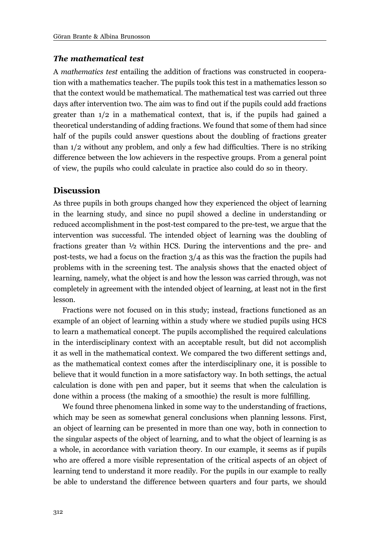## The mathematical test

A mathematics test entailing the addition of fractions was constructed in cooperation with a mathematics teacher. The pupils took this test in a mathematics lesson so that the context would be mathematical. The mathematical test was carried out three days after intervention two. The aim was to find out if the pupils could add fractions greater than 1/2 in a mathematical context, that is, if the pupils had gained a theoretical understanding of adding fractions. We found that some of them had since half of the pupils could answer questions about the doubling of fractions greater than 1/2 without any problem, and only a few had difficulties. There is no striking difference between the low achievers in the respective groups. From a general point of view, the pupils who could calculate in practice also could do so in theory.

## **Discussion**

As three pupils in both groups changed how they experienced the object of learning in the learning study, and since no pupil showed a decline in understanding or reduced accomplishment in the post-test compared to the pre-test, we argue that the intervention was successful. The intended object of learning was the doubling of fractions greater than ½ within HCS. During the interventions and the pre- and post-tests, we had a focus on the fraction  $3/4$  as this was the fraction the pupils had problems with in the screening test. The analysis shows that the enacted object of learning, namely, what the object is and how the lesson was carried through, was not completely in agreement with the intended object of learning, at least not in the first lesson.

Fractions were not focused on in this study; instead, fractions functioned as an example of an object of learning within a study where we studied pupils using HCS to learn a mathematical concept. The pupils accomplished the required calculations in the interdisciplinary context with an acceptable result, but did not accomplish it as well in the mathematical context. We compared the two different settings and, as the mathematical context comes after the interdisciplinary one, it is possible to believe that it would function in a more satisfactory way. In both settings, the actual calculation is done with pen and paper, but it seems that when the calculation is done within a process (the making of a smoothie) the result is more fulfilling.

We found three phenomena linked in some way to the understanding of fractions, which may be seen as somewhat general conclusions when planning lessons. First, an object of learning can be presented in more than one way, both in connection to the singular aspects of the object of learning, and to what the object of learning is as a whole, in accordance with variation theory. In our example, it seems as if pupils who are offered a more visible representation of the critical aspects of an object of learning tend to understand it more readily. For the pupils in our example to really be able to understand the difference between quarters and four parts, we should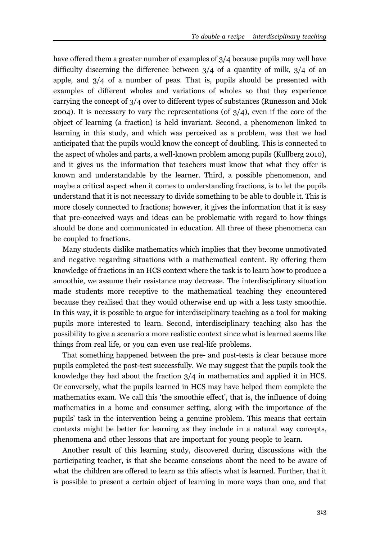have offered them a greater number of examples of 3/4 because pupils may well have difficulty discerning the difference between 3/4 of a quantity of milk, 3/4 of an apple, and  $3/4$  of a number of peas. That is, pupils should be presented with examples of different wholes and variations of wholes so that they experience carrying the concept of 3/4 over to different types of substances (Runesson and Mok 2004). It is necessary to vary the representations (of  $3/4$ ), even if the core of the object of learning (a fraction) is held invariant. Second, a phenomenon linked to learning in this study, and which was perceived as a problem, was that we had anticipated that the pupils would know the concept of doubling. This is connected to the aspect of wholes and parts, a well-known problem among pupils (Kullberg 2010), and it gives us the information that teachers must know that what they offer is known and understandable by the learner. Third, a possible phenomenon, and maybe a critical aspect when it comes to understanding fractions, is to let the pupils understand that it is not necessary to divide something to be able to double it. This is more closely connected to fractions; however, it gives the information that it is easy that pre-conceived ways and ideas can be problematic with regard to how things should be done and communicated in education. All three of these phenomena can be coupled to fractions.

Many students dislike mathematics which implies that they become unmotivated and negative regarding situations with a mathematical content. By offering them knowledge of fractions in an HCS context where the task is to learn how to produce a smoothie, we assume their resistance may decrease. The interdisciplinary situation made students more receptive to the mathematical teaching they encountered because they realised that they would otherwise end up with a less tasty smoothie. In this way, it is possible to argue for interdisciplinary teaching as a tool for making pupils more interested to learn. Second, interdisciplinary teaching also has the possibility to give a scenario a more realistic context since what is learned seems like things from real life, or you can even use real-life problems.

That something happened between the pre- and post-tests is clear because more pupils completed the post-test successfully. We may suggest that the pupils took the knowledge they had about the fraction  $3/4$  in mathematics and applied it in HCS. Or conversely, what the pupils learned in HCS may have helped them complete the mathematics exam. We call this 'the smoothie effect', that is, the influence of doing mathematics in a home and consumer setting, along with the importance of the pupils' task in the intervention being a genuine problem. This means that certain contexts might be better for learning as they include in a natural way concepts, phenomena and other lessons that are important for young people to learn.

Another result of this learning study, discovered during discussions with the participating teacher, is that she became conscious about the need to be aware of what the children are offered to learn as this affects what is learned. Further, that it is possible to present a certain object of learning in more ways than one, and that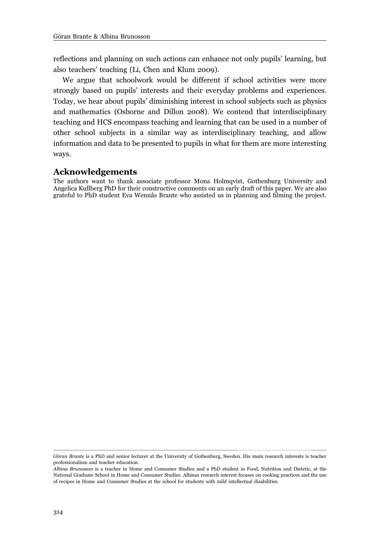reflections and planning on such actions can enhance not only pupils' learning, but also teachers' teaching (Li, Chen and Klum 2009).

We argue that schoolwork would be different if school activities were more strongly based on pupils' interests and their everyday problems and experiences. Today, we hear about pupils' diminishing interest in school subjects such as physics and mathematics (Osborne and Dillon 2008). We contend that interdisciplinary teaching and HCS encompass teaching and learning that can be used in a number of other school subjects in a similar way as interdisciplinary teaching, and allow information and data to be presented to pupils in what for them are more interesting ways.

## Acknowledgements

The authors want to thank associate professor Mona Holmqvist, Gothenburg University and Angelica Kullberg PhD for their constructive comments on an early draft of this paper. We are also grateful to PhD student Eva Wennås Brante who assisted us in planning and filming the project.

Göran Brante is a PhD and senior lecturer at the University of Gothenburg, Sweden. His main research interests is teacher professionalism and teacher education.

Albina Brunosson is a teacher in Home and Consumer Studies and a PhD student in Food, Nutrition and Dietetic, at the National Graduate School in Home and Consumer Studies. Albinas research interest focuses on cooking practices and the use of recipes in Home and Consumer Studies at the school for students with mild intellectual disabilities.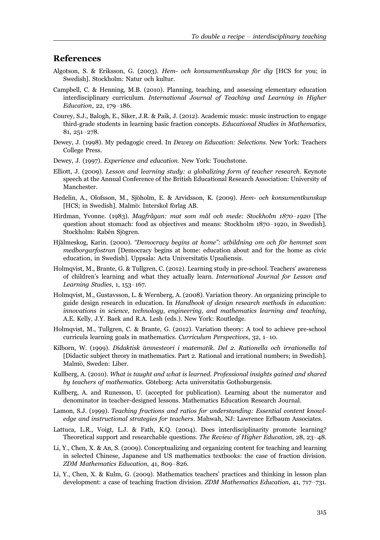## References

- Algotson, S. & Eriksson, G. (2003). Hem- och konsumentkunskap för dig [HCS for you; in Swedish]. Stockholm: Natur och kultur.
- Campbell, C. & Henning, M.B. (2010). Planning, teaching, and assessing elementary education interdisciplinary curriculum. International Journal of Teaching and Learning in Higher Education, 22, 179-186.
- Courey, S.J., Balogh, E., Siker, J.R. & Paik, J. (2012). Academic music: music instruction to engage third-grade students in learning basic fraction concepts. Educational Studies in Mathematics, 81, 251-278.
- Dewey, J. (1998). My pedagogic creed. In Dewey on Education: Selections. New York: Teachers College Press.
- Dewey, J. (1997). Experience and education. New York: Touchstone.
- Elliott, J. (2009). Lesson and learning study: a globalizing form of teacher research. Keynote speech at the Annual Conference of the British Educational Research Association: University of Manchester.
- Hedelin, A., Olofsson, M., Sjöholm, E. & Arvidsson, K. (2009). Hem- och konsumentkunskap [HCS; in Swedish]. Malmö: Interskol förlag AB.
- Hirdman, Yvonne. (1983). *Magfrågan: mat som mål och mede: Stockholm 1870–1920* [The question about stomach: food as objectives and means: Stockholm 1870-1920, in Swedish]. Stockholm: Rabén Sjögren.
- Hjälmeskog, Karin. (2000). "Democracy begins at home": utbildning om och för hemmet som medborgarfostran [Democracy begins at home: education about and for the home as civic education, in Swedish]. Uppsala: Acta Universitatis Upsaliensis.
- Holmqvist, M., Brante, G. & Tullgren, C. (2012). Learning study in pre-school. Teachers' awareness of children's learning and what they actually learn. International Journal for Lesson and Learning Studies, 1, 153-167.
- Holmqvist, M., Gustavsson, L. & Wernberg, A. (2008). Variation theory. An organizing principle to guide design research in education. In Handbook of design research methods in education: innovations in science, technology, engineering, and mathematics learning and teaching, A.E. Kelly, J.Y. Baek and R.A. Lesh (eds.). New York: Routledge.
- Holmqvist, M., Tullgren, C. & Brante, G. (2012). Variation theory: A tool to achieve pre-school curricula learning goals in mathematics. Curriculum Perspectives, 32, 1-10.
- Kilborn, W. (1999). Didaktisk ämnesteori i matematik. Del 2. Rationella och irrationella tal [Didactic subject theory in mathematics. Part 2. Rational and irrational numbers; in Swedish]. Malmö, Sweden: Liber.
- Kullberg, A. (2010). What is taught and what is learned. Professional insights gained and shared by teachers of mathematics. Göteborg: Acta universitatis Gothoburgensis.
- Kullberg, A. and Runesson, U. (accepted for publication). Learning about the numerator and denominator in teacher-designed lessons. Mathematics Education Research Journal.
- Lamon, S.J. (1999). Teaching fractions and ratios for understanding: Essential content knowledge and instructional strategies for teachers. Mahwah, NJ: Lawrence Erlbaum Associates.
- Lattuca, L.R., Voigt, L.J. & Fath, K.Q. (2004). Does interdisciplinarity promote learning? Theoretical support and researchable questions. The Review of Higher Education, 28, 23–48.
- Li, Y., Chen, X. & An, S. (2009). Conceptualizing and organizing content for teaching and learning in selected Chinese, Japanese and US mathematics textbooks: the case of fraction division. ZDM Mathematics Education, 41, 809-826.
- Li, Y., Chen, X. & Kulm, G. (2009). Mathematics teachers' practices and thinking in lesson plan development: a case of teaching fraction division. ZDM Mathematics Education, 41, 717-731.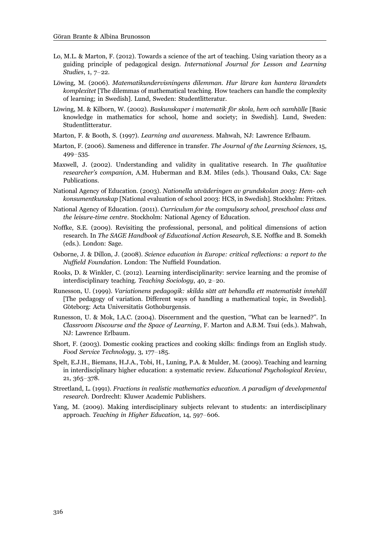- Lo, M.L. & Marton, F. (2012). Towards a science of the art of teaching. Using variation theory as a guiding principle of pedagogical design. International Journal for Lesson and Learning Studies, 1, 7-22.
- Löwing, M. (2006). Matematikundervisningens dilemman. Hur lärare kan hantera lärandets komplexitet [The dilemmas of mathematical teaching. How teachers can handle the complexity of learning; in Swedish]. Lund, Sweden: Studentlitteratur.
- Löwing, M. & Kilborn, W. (2002). Baskunskaper i matematik för skola, hem och samhälle [Basic knowledge in mathematics for school, home and society; in Swedish]. Lund, Sweden: Studentlitteratur.
- Marton, F. & Booth, S. (1997). Learning and awareness. Mahwah, NJ: Lawrence Erlbaum.
- Marton, F. (2006). Sameness and difference in transfer. The Journal of the Learning Sciences, 15, 499-535.
- Maxwell, J. (2002). Understanding and validity in qualitative research. In The qualitative researcher's companion, A.M. Huberman and B.M. Miles (eds.). Thousand Oaks, CA: Sage Publications.
- National Agency of Education. (2003). Nationella utväderingen av grundskolan 2003: Hem- och konsumentkunskap [National evaluation of school 2003: HCS, in Swedish]. Stockholm: Fritzes.
- National Agency of Education. (2011). Curriculum for the compulsory school, preschool class and the leisure-time centre. Stockholm: National Agency of Education.
- Noffke, S.E. (2009). Revisiting the professional, personal, and political dimensions of action research. In The SAGE Handbook of Educational Action Research, S.E. Noffke and B. Somekh (eds.). London: Sage.
- Osborne, J. & Dillon, J. (2008). Science education in Europe: critical reflections: a report to the Nuffield Foundation. London: The Nuffield Foundation.
- Rooks, D. & Winkler, C. (2012). Learning interdisciplinarity: service learning and the promise of interdisciplinary teaching. Teaching Sociology, 40, 2-20.
- Runesson, U. (1999). Variationens pedagogik: skilda sätt att behandla ett matematiskt innehåll [The pedagogy of variation. Different ways of handling a mathematical topic, in Swedish]. Göteborg: Acta Universitatis Gothoburgensis.
- Runesson, U. & Mok, I.A.C. (2004). Discernment and the question, ''What can be learned?''. In Classroom Discourse and the Space of Learning, F. Marton and A.B.M. Tsui (eds.). Mahwah, NJ: Lawrence Erlbaum.
- Short, F. (2003). Domestic cooking practices and cooking skills: findings from an English study. Food Service Technology, 3, 177-185.
- Spelt, E.J.H., Biemans, H.J.A., Tobi, H., Luning, P.A. & Mulder, M. (2009). Teaching and learning in interdisciplinary higher education: a systematic review. Educational Psychological Review, 21, 365-378.
- Streetland, L. (1991). Fractions in realistic mathematics education. A paradigm of developmental research. Dordrecht: Kluwer Academic Publishers.
- Yang, M. (2009). Making interdisciplinary subjects relevant to students: an interdisciplinary approach. Teaching in Higher Education, 14, 597-606.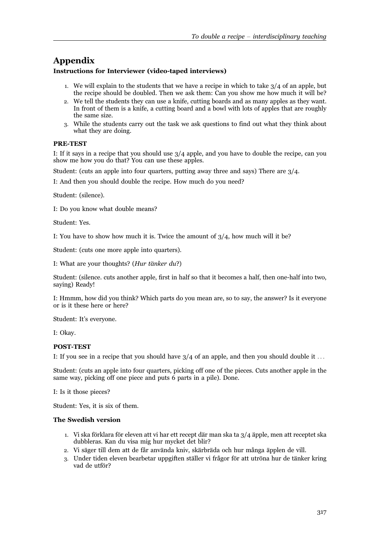# Appendix

#### Instructions for Interviewer (video-taped interviews)

- 1. We will explain to the students that we have a recipe in which to take  $3/4$  of an apple, but the recipe should be doubled. Then we ask them: Can you show me how much it will be?
- 2. We tell the students they can use a knife, cutting boards and as many apples as they want. In front of them is a knife, a cutting board and a bowl with lots of apples that are roughly the same size.
- 3. While the students carry out the task we ask questions to find out what they think about what they are doing.

#### PRE-TEST

I: If it says in a recipe that you should use  $3/4$  apple, and you have to double the recipe, can you show me how you do that? You can use these apples.

Student: (cuts an apple into four quarters, putting away three and says) There are 3/4.

I: And then you should double the recipe. How much do you need?

Student: (silence).

I: Do you know what double means?

Student: Yes.

I: You have to show how much it is. Twice the amount of  $3/4$ , how much will it be?

Student: (cuts one more apple into quarters).

I: What are your thoughts? (Hur tänker du?)

Student: (silence. cuts another apple, first in half so that it becomes a half, then one-half into two, saying) Ready!

I: Hmmm, how did you think? Which parts do you mean are, so to say, the answer? Is it everyone or is it these here or here?

Student: It's everyone.

I: Okay.

#### POST-TEST

I: If you see in a recipe that you should have  $3/4$  of an apple, and then you should double it ...

Student: (cuts an apple into four quarters, picking off one of the pieces. Cuts another apple in the same way, picking off one piece and puts 6 parts in a pile). Done.

I: Is it those pieces?

Student: Yes, it is six of them.

#### The Swedish version

- 1. Vi ska förklara för eleven att vi har ett recept där man ska ta  $3/4$  äpple, men att receptet ska dubbleras. Kan du visa mig hur mycket det blir?
- 2. Vi säger till dem att de får använda kniv, skärbräda och hur många äpplen de vill.
- 3. Under tiden eleven bearbetar uppgiften ställer vi frågor för att utröna hur de tänker kring vad de utför?